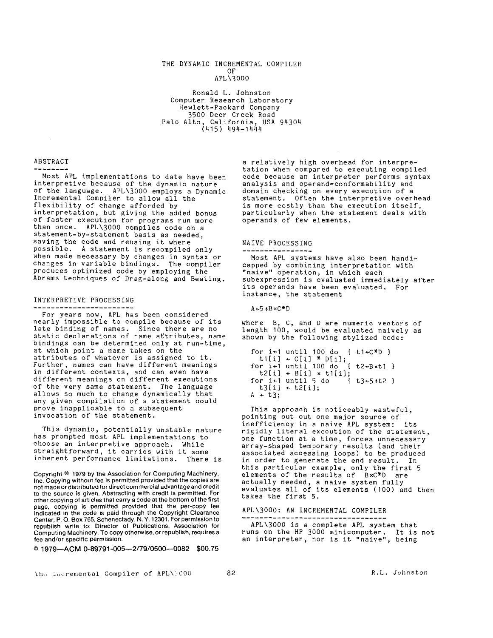# THE DYNAMIC INCREMENTAL COMPILER OF

## APL\3000

Ronald L. Johnston Computer Research Laboratory Hewlett-Packard Company 3500 Deer Creek Road Palo Alto, California, USA 94304 (415) 494-1444

# ABSTRACT

Most APL implementations to date have been interpretive because of the dynamic nature of the language. APL\3000 employs a Dynamic Incremental Compiler to allow all the flexibility of change afforded by interpretation, but giving the added bonus of faster execution for programs run more than once. APL\3000 compiles code on a statement-by-statement basis as needed, saving the code and reusing it where possible. A statement is recompiled only when made necessary by changes in syntax or changes in variable bindings. The compiler produces optimized code by employing the Abrams techniques of Drag-along and Beating.

### INTERPRETIVE PROCESSING

 $\frac{1}{2}$ 

For years now, APL has been considered nearly impossible to compile because of its late binding of names. Since there are no static declarations of name attributes, name bindings can be determined only at run-time, at which point a name takes on the attributes of whatever is assigned to it. Further, names can have different meanings in different contexts, and can even have different meanings on different executions of the very same statement. The language allows so much to change dynamically that any given compilation of a statement could prove inapplicable to a subsequent invocation of the statement.

This dynamic, potentially unstable nature has prompted most APL implementations to choose an interpretive approach. While straightforward, it carries with it some inherent performance limitations. There is

Copyright © 1979 by the Association for Computing Machinery, Inc. Copying without fee is permitted provided that the copies are not made or distributed for direct commercial advantage and credit to the source is given. Abstracting with credit is permitted. For other copying of articles that carry a code at the bottom of the first page, copying is permitted provided that the per-copy fee indicated in the code is paid through the Copyright Clearance Center, P. O. Box 765, Schenectady, N. Y. 12301. For permission to republish write to: Director of Publications, Association for Computing Machinery. To copy otherwise, or republish, requires a fee and/or specific permission.

© 1979--ACM 0-89791-005--2/79/0500--0082 \$00.75

a relatively high overhead for interpretation when compared to executing compiled code because an interpreter performs syntax analysis and operand-conformability and domain checking on every execution of a statement. Often the interpretive overhead is more costly than the execution itself, particularly when the statement deals with operands of few elements.

# NAIVE PROCESSING

Most APL systems have also been handicapped by combining interpretation with "naive" operation, in which each subexpression is evaluated immediately after its operands have been evaluated. For instance, the statement

 $A+5+B \times C*D$ 

where B, C, and D are numeric vectors of length 100, would be evaluated naively as shown by the following stylized code:

```
for i÷I until 100 do { tI+C*D } 
  t1[i] \leftarrow C[i] * D[i];<br>r i←1 until 100 do { t2←B×t1 }
for i~I until 100 do { t2+Bxtl } 
  t2[i] ÷ B[i] x t1[i]; 
for i~I until 5 do { t3+5÷t2 } 
  t3[i] + t2[i];A + t3;
```
This approach is noticeably wasteful, pointing out out one major source of inefficiency in a naive APL system: its rigidly literal execution of the statement, one function at a time, forces unnecessary array-shaped temporary results (and their associated accessing loops) to be produced in order to generate the end result. In this particular example, only the first 5 elements of the results of BxC\*D are actually needed, a naive system fully evaluates all of its elements (1OO) and then takes the first 5.

#### APL\3000: AN INCREMENTAL COMPILER -------------------------

APL\3OO0 is a complete APL system that runs on the HP 3000 minicomputer. It is not an interpreter, nor is it "naive", being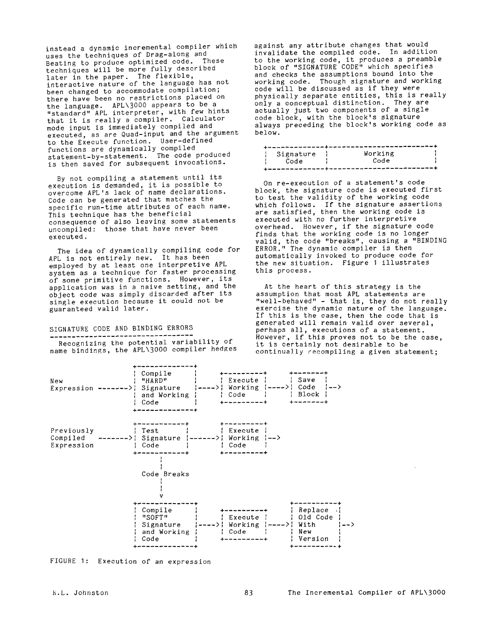instead a dynamic incremental compiler which uses the techniques of Drag-along and Beating to produce optimized code. These techniques will be more fully described later in the paper. The flexible, interactive nature of the language has not been changed to accommodate compilation; there have been no restrictions placed on the language. APL\3000 appears to be a "standard" APL interpreter, with few hints that it is really a compiler. Calculator mode input is immediately compiled and executed, as are Quad-input and the argument to the Execute function. User-defined functions are dynamically compiled statement-by-statement. The code produced is then saved for subsequent invocations.

By not compiling a statement until its execution is demanded, it is possible to overcome APL's lack of name declarations. Code can be generated that matches the specific run-time attributes of each name. This technique has the beneficial consequence of also leaving some statements uncompiled: those that have never been executed.

The idea of dynamically compiling code for APL is not entirely new. It has been employed by at least one interpretive APL system as a technique for faster processing of some primitive functions. However, its application was in a naive setting, and the object code was simply discarded after its single execution because it could *not* be guaranteed valid later.

# SIGNATURE CODE AND BINDING ERRORS

Recognizing the potential variability of name bindings, the APL\3000 compiler hedges against any attribute changes that would invalidate the compiled code. In addition to the working code, it produces a preamble block of "SIGNATURE CODE" which specifies and checks the assumptions bound into the working code. Though signature and working code will be discussed as if they were physically separate entities, this is really only a conceptual distinction. They are actually just two components of a single code block, with the block's signature always preceding the block's working code as below.

| Signature | Working |  |  |  |  |  |
|-----------|---------|--|--|--|--|--|
| Code      | Code    |  |  |  |  |  |
|           |         |  |  |  |  |  |

On re-execution of a statement's code block, the signature code is executed first to test the validity of the working code which follows. If the signature assertions are satisfied, then the working code is executed with no further interpretive overhead. However, if the signature code finds that the working code is no longer valid, the code "breaks", causing a "BINDING ERROR." The dynamic compiler is then *automatically* invoked to produce code for the new *situation.* Figure I illustrates this process.

At the heart of this strategy is the assumption that most APL statements are "well-behaved" - that is, they do not really exercise the dynamic nature of the language. If this is the case, then the code that is generated will remain valid over several, perhaps all, executions of a statement. However, if this proves not to be the case, it is certainly not desirable to be continually recompiling a given statement;



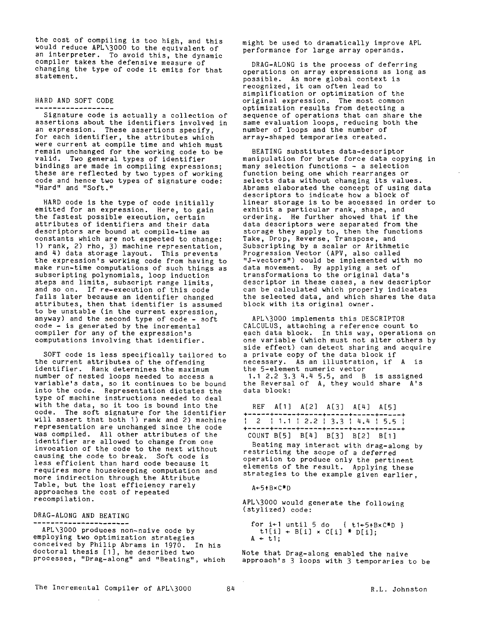the cost of compiling is too high, and this would reduce APL\3000 to the equivalent of an interpreter. To avoid this, the dynamic compiler takes the defensive measure of changing the type of code it emits for that statement.

#### HARD AND SOFT CODE . \_ \_ \_ \_ \_ \_ \_ *\_ \_ \_ \_ \_ \_ \_* .

Signature code is actually a collection of assertions about the identifiers involved in an expression. These assertions specify, for each identifier, the attributes which were current at compile time and which must remain unchanged for the working code to be valid. Two general types of identifier bindings are made in compiling expressions; these are reflected by two types of working code and hence two types of signature code: "Hard" and "Soft."

HARD code is the type of code initially emitted for an expression. Here, to gain the fastest possible execution, certain attributes of identifiers and their data descriptors are bound at compile-time as constants which are not expected to change: I) rank, 2) rho, 3) machine representation, and 4) data storage layout. This prevents the expression's working code from having to make run-time computations of such things as subscripting polynomials, loop induction steps and limits, subscript range limits, and so on. If re-execution of this code fails later because an identifier changed attributes, then that identifier is assumed to be unstable (in the current expression, anyway) and the second type of code - soft code - is generated by the incremental compiler for any of the expression's computations involving that identifier.

SOFT code is less specifically tailored to the current attributes of the offending identifier. Rank determines the maximum number of nested loops needed to access a variable's data, so it continues to be bound into the code. Representation dictates the type of machine instructions needed to deal with the data, so it too is bound into the code. The soft signature for the identifier will assert that both I) rank and 2) machine representation are unchanged since the code was compiled. All other attributes of the identifier are allowed to change from one invocation of the code to the next without causing the code to break. Soft code is less efficient than hard code because it requires more housekeeping computation and more indirection through the Attribute Table, but the lost efficiency rarely approaches the cost of repeated recompilation.

### DRAG-ALONG AND BEATING

APL\3000 produces non-naive code by employing two optimization strategies conceived by Philip Abrams in 1970. In his doctoral thesis [I], he described two processes, "Drag-along" and "Beating", which might be used to dramatically improve APL performance for large array operands.

DRAG-ALONG is the process of deferring operations on array expressions as long as possible. As more global context is recognized, it can often lead to simplification or optimization of the original expression. The most common optimization results from detecting a sequence of operations that can share the same evaluation loops, reducing both the number of loops and the number of array-shaped temporaries created.

BEATING substitutes data-descriptor manipulation for brute force data copying in many selection functions - a selection function being one which rearranges or selects data without changing its values. Abrams elaborated the concept of using data descriptors to indicate how a block of linear storage is to be accessed in order to exhibit a particular rank, shape, and ordering. He further showed that if the data descriptors were separated from the storage they apply to, then the functions Take, Drop, Reverse, Transpose, and Subscripting by a scalar or Arithmetic Progression Vector (APV, also called "J-vectors") could be implemented with no data movement. By applying a set of transformations to the original data's descriptor in these cases, a new descriptor can be calculated which properly indicates the selected data, and which shares the data block with its original owner.

APL\3000 implements this DESCRIPTOR CALCULUS, attaching a reference count to each data block. In this way, operations on one variable (which must not alter others by side effect) can detect sharing and acquire a private copy of the data block if necessary. As an illustration, if A is the 5-element numeric vector 1.1 2.2 3.3 4.4 5.5, and B is assigned the Reversal of A, they would share A's data block:

| REF A $[1]$ A $[2]$ A $[3]$ A $[4]$ A $[5]$ |  | +-----+-----+------+-----+---+---+---                                                                                                                                                                                                         |  |
|---------------------------------------------|--|-----------------------------------------------------------------------------------------------------------------------------------------------------------------------------------------------------------------------------------------------|--|
|                                             |  | $\begin{array}{cc} \cdot & 2 \\ \cdot & \cdot & 1 \end{array}$ + 1 . 1 $\begin{array}{cc} 2 & .2 \\ \cdot & 3 \end{array}$ + 3 . 3 $\begin{array}{cc} 1 & .4 \\ \cdot & 4 \end{array}$ + 5 . 5 $\begin{array}{cc} 1 \\ \cdot & 5 \end{array}$ |  |
| COUNT B[5] B[4] B[3] B[2] B[1]              |  |                                                                                                                                                                                                                                               |  |

Beating may interact with drag-along by restricting the scope of a deferred operation to produce only the pertinent elements of the result. Applying these strategies to the example given earlier,

#### A÷5÷BxC\*D

APL\3000 would generate the following (stylized) code:

```
for i+1 until 5 do { t1+5+B\times C*D }
  t1[i] + B[i] \times C[i] * D[i];A + t1:
```
Note that Drag-along enabled the naive approach's 3 loops with 3 temporaries to be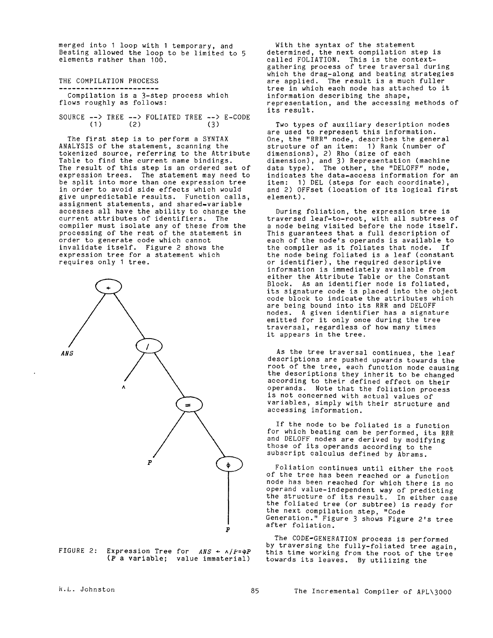merged into I loop with I temporary, and Beating allowed the loop to be limited to 5 elements rather than 100.

THE COMPILATION PROCESS ----------------------

Compilation is a 3-step process which flows roughly as follows:

SOURCE  $\leftarrow$  > TREE  $\leftarrow$  > FOLIATED TREE  $\leftarrow$  > E-CODE (1) (2)  $(2)$ 

The first step is to perform a SYNTAX ANALYSIS of the statement, scanning the tokenized source, referring to the Attribute Table to find the current name bindings. The result of this step is an ordered set of expression trees. The statement may need to be split into more than one expression tree in order to avoid side effects which would give unpredictable results. Function calls, assignment statements, and shared-variable accesses all have the ability to change the current attributes of identifiers. The compiler must isolate any of these from the processing of the rest of the statement in order to generate code which cannot invalidate itself. Figure 2 shows the expression tree for a statement which requires only I tree.



FIGURE 2: Expression Tree for  $ANS \leftarrow \wedge /P=\Phi P$ (P a variable; value immaterial)

With the syntax of the statement determined, the next compilation step is called FOLIATION. This is the contextgathering process of tree traversal during which the drag-along and beating strategies are applied. The result is a much fuller tree in which each node has attached to it information describing the shape, representation, and the accessing methods of its result.

Two types of auxiliary description nodes are used to represent this information. One, the "RRR" node, describes the general structure of an item: I) Rank (number of dimensions), 2) Rho (size of each dimension), and 3) Representation (machine data type). The other, the "DELOFF" node, indicates the data-access information for an item: I) DEL (steps for each coordinate), and 2) OFFset (location of its logical first element).

During foliation, the expression tree is traversed leaf-to-root, with all subtrees of a node being visited before the node itself. This guarantees that a full description of each of the node's operands is available to the compiler as it foliates that node. If the node being foliated is a leaf (constant or identifier), the required descriptive information is immediately available from either the Attribute Table or the Constant Block. As an identifier node is foliated, its signature code is placed into the object code block to indicate the attributes which are being bound into its RRR and DELOFF nodes. A given identifier has a signature emitted for it only once during the tree traversal, regardless of how many times it appears in the tree.

As the tree traversal continues, the leaf descriptions are pushed upwards towards the root of the tree, each function node causing the descriptions they inherit to be changed according to their defined effect on their operands. Note that the foliation process is not concerned with actual values of variables, simply with their structure and accessing information.

If the node to be foliated is a function for which beating can be performed, its RRR and DELOFF nodes are derived by modifying those of its operands according to the subscript calculus defined by Abrams.

Foliation continues until either the root of the tree has been reached or a function node has been reached for which there is no operand value-independent way of predicting the structure of its result. In either case the foliated tree (or subtree) is ready for the next compilation step, "Code Generation." Figure 3 shows Figure 2's tree after foliation.

The CODE-GENERATION process is performed by traversing the fully-foliated tree again. this time working from the root of the tree towards its leaves. By utilizing the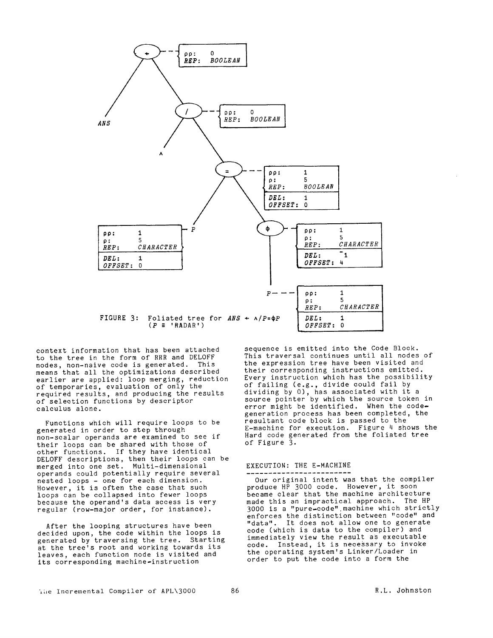

context information that has been attached to the tree in the form of RRR and DELOFF nodes, non-naive code is generated. This means that all the optimizations described earlier are applied: loop merging, reduction of temporaries, evaluation of only the required results, and producing the results of selection functions by descriptor calculus alone.

Functions which will require loops to be generated in order to step through non-scalar operands are examined to see if their loops can be shared with those of other functions. If they have identical DELOFF descriptions, then their loops can be merged into one set. Multi-dimensional operands could potentially require several nested loops - one for each dimension. However, it is often the case that such loops can be collapsed into fewer loops because the operand's data access is very regular (row-major order, for instance).

After the looping structures have been decided upon, the code within the loops is generated by traversing the tree. Starting at the tree's root and working towards its leaves, each function node is visited and its corresponding machine-instruction

sequence is emitted into the Code Block. This traversal continues until all nodes of the expression tree have been visited and their corresponding instructions emitted. Every instruction which has the possibility of failing (e.g., divide could fail by dividing by 0), has associated with it a source pointer by which the source token in error might be identified. When the codegeneration process has been completed, the resultant code block is passed to the E-machine for execution. Figure 4 shows the Hard code generated from the foliated tree of Figure 3.

#### EXECUTION: THE E-MACHINE

Our original intent was that the compiler produce HP 3000 code. However, it soon became clear that the machine architecture made this an impractical approach. The HP 3000 is a "pure-code".machine which strictly enforces the distinction between "code" and "data". It does not allow one to generate code (which is data to the compiler) and immediately view the result as executable code. Instead, it is necessary to invoke the operating system's Linker/Loader in order to put the code into a form the